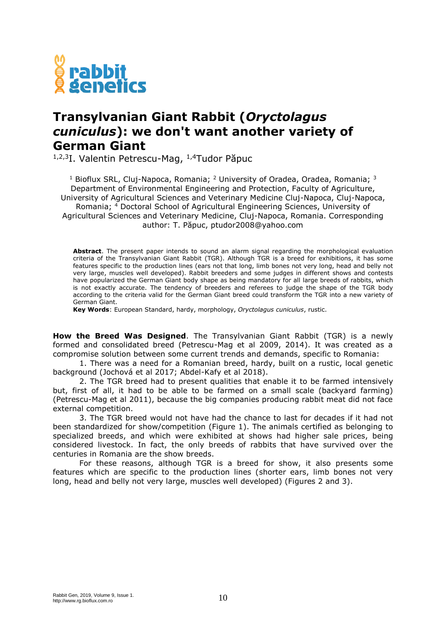

## **Transylvanian Giant Rabbit (***Oryctolagus cuniculus***): we don't want another variety of German Giant**

<sup>1,2,3</sup>I. Valentin Petrescu-Mag, <sup>1,4</sup>Tudor Păpuc

<sup>1</sup> Bioflux SRL, Cluj-Napoca, Romania; <sup>2</sup> University of Oradea, Oradea, Romania; <sup>3</sup> Department of Environmental Engineering and Protection, Faculty of Agriculture, University of Agricultural Sciences and Veterinary Medicine Cluj-Napoca, Cluj-Napoca, Romania; <sup>4</sup> Doctoral School of Agricultural Engineering Sciences, University of Agricultural Sciences and Veterinary Medicine, Cluj-Napoca, Romania. Corresponding author: T. Păpuc, ptudor2008@yahoo.com

**Abstract**. The present paper intends to sound an alarm signal regarding the morphological evaluation criteria of the Transylvanian Giant Rabbit (TGR). Although TGR is a breed for exhibitions, it has some features specific to the production lines (ears not that long, limb bones not very long, head and belly not very large, muscles well developed). Rabbit breeders and some judges in different shows and contests have popularized the German Giant body shape as being mandatory for all large breeds of rabbits, which is not exactly accurate. The tendency of breeders and referees to judge the shape of the TGR body according to the criteria valid for the German Giant breed could transform the TGR into a new variety of German Giant.

**Key Words**: European Standard, hardy, morphology, *Oryctolagus cuniculus*, rustic.

**How the Breed Was Designed**. The Transylvanian Giant Rabbit (TGR) is a newly formed and consolidated breed (Petrescu-Mag et al 2009, 2014). It was created as a compromise solution between some current trends and demands, specific to Romania:

1. There was a need for a Romanian breed, hardy, built on a rustic, local genetic background (Jochová et al 2017; Abdel-Kafy et al 2018).

2. The TGR breed had to present qualities that enable it to be farmed intensively but, first of all, it had to be able to be farmed on a small scale (backyard farming) (Petrescu-Mag et al 2011), because the big companies producing rabbit meat did not face external competition.

3. The TGR breed would not have had the chance to last for decades if it had not been standardized for show/competition (Figure 1). The animals certified as belonging to specialized breeds, and which were exhibited at shows had higher sale prices, being considered livestock. In fact, the only breeds of rabbits that have survived over the centuries in Romania are the show breeds.

For these reasons, although TGR is a breed for show, it also presents some features which are specific to the production lines (shorter ears, limb bones not very long, head and belly not very large, muscles well developed) (Figures 2 and 3).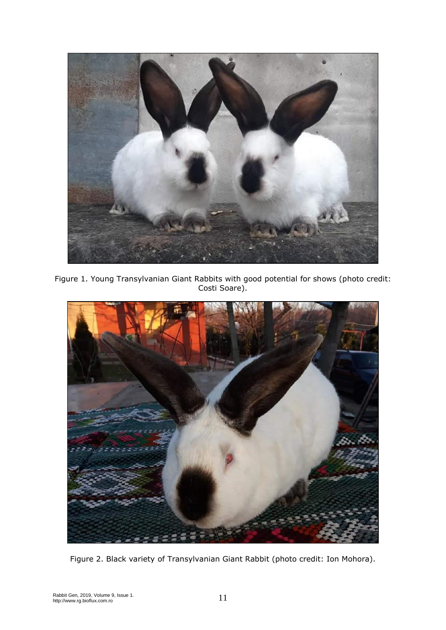

Figure 1. Young Transylvanian Giant Rabbits with good potential for shows (photo credit: Costi Soare).



Figure 2. Black variety of Transylvanian Giant Rabbit (photo credit: Ion Mohora).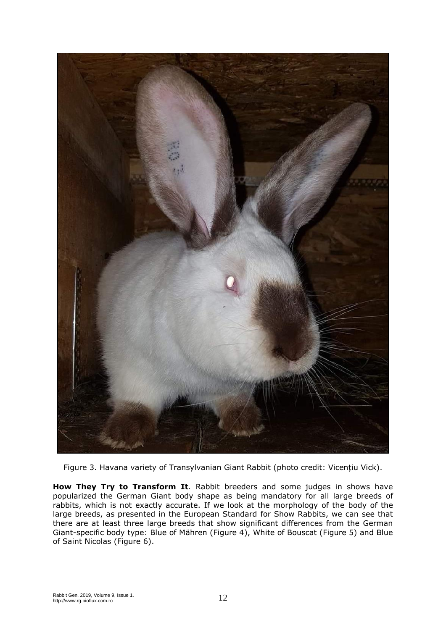

Figure 3. Havana variety of Transylvanian Giant Rabbit (photo credit: Vicențiu Vick).

**How They Try to Transform It**. Rabbit breeders and some judges in shows have popularized the German Giant body shape as being mandatory for all large breeds of rabbits, which is not exactly accurate. If we look at the morphology of the body of the large breeds, as presented in the European Standard for Show Rabbits, we can see that there are at least three large breeds that show significant differences from the German Giant-specific body type: Blue of Mähren (Figure 4), White of Bouscat (Figure 5) and Blue of Saint Nicolas (Figure 6).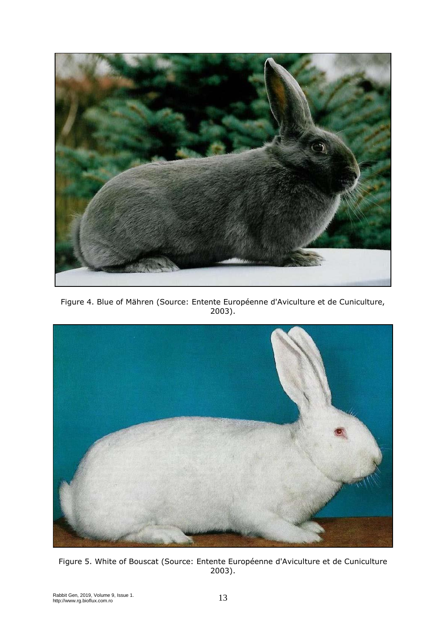

Figure 4. Blue of Mähren (Source: Entente Européenne d'Aviculture et de Cuniculture, 2003).



Figure 5. White of Bouscat (Source: Entente Européenne d'Aviculture et de Cuniculture 2003).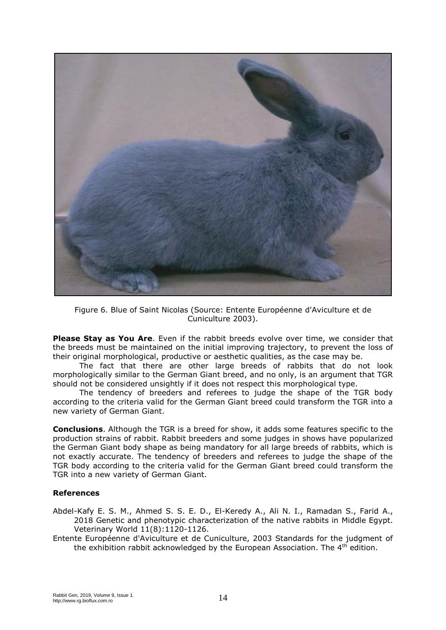

Figure 6. Blue of Saint Nicolas (Source: Entente Européenne d'Aviculture et de Cuniculture 2003).

**Please Stay as You Are**. Even if the rabbit breeds evolve over time, we consider that the breeds must be maintained on the initial improving trajectory, to prevent the loss of their original morphological, productive or aesthetic qualities, as the case may be.

The fact that there are other large breeds of rabbits that do not look morphologically similar to the German Giant breed, and no only, is an argument that TGR should not be considered unsightly if it does not respect this morphological type.

The tendency of breeders and referees to judge the shape of the TGR body according to the criteria valid for the German Giant breed could transform the TGR into a new variety of German Giant.

**Conclusions**. Although the TGR is a breed for show, it adds some features specific to the production strains of rabbit. Rabbit breeders and some judges in shows have popularized the German Giant body shape as being mandatory for all large breeds of rabbits, which is not exactly accurate. The tendency of breeders and referees to judge the shape of the TGR body according to the criteria valid for the German Giant breed could transform the TGR into a new variety of German Giant.

## **References**

- Abdel-Kafy E. S. M., Ahmed S. S. E. D., El-Keredy A., Ali N. I., Ramadan S., Farid A., 2018 Genetic and phenotypic characterization of the native rabbits in Middle Egypt. Veterinary World 11(8):1120-1126.
- Entente Européenne d'Aviculture et de Cuniculture, 2003 Standards for the judgment of the exhibition rabbit acknowledged by the European Association. The 4<sup>th</sup> edition.